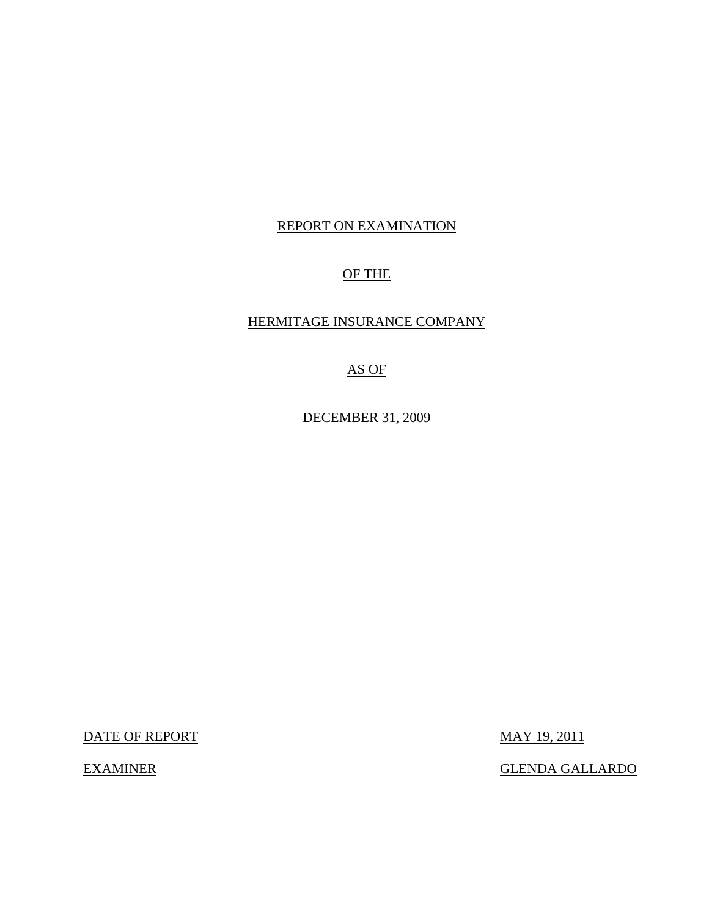# REPORT ON EXAMINATION

# OF THE

## HERMITAGE INSURANCE COMPANY

# AS OF

DECEMBER 31, 2009

DATE OF REPORT MAY 19, 2011

EXAMINER GLENDA GALLARDO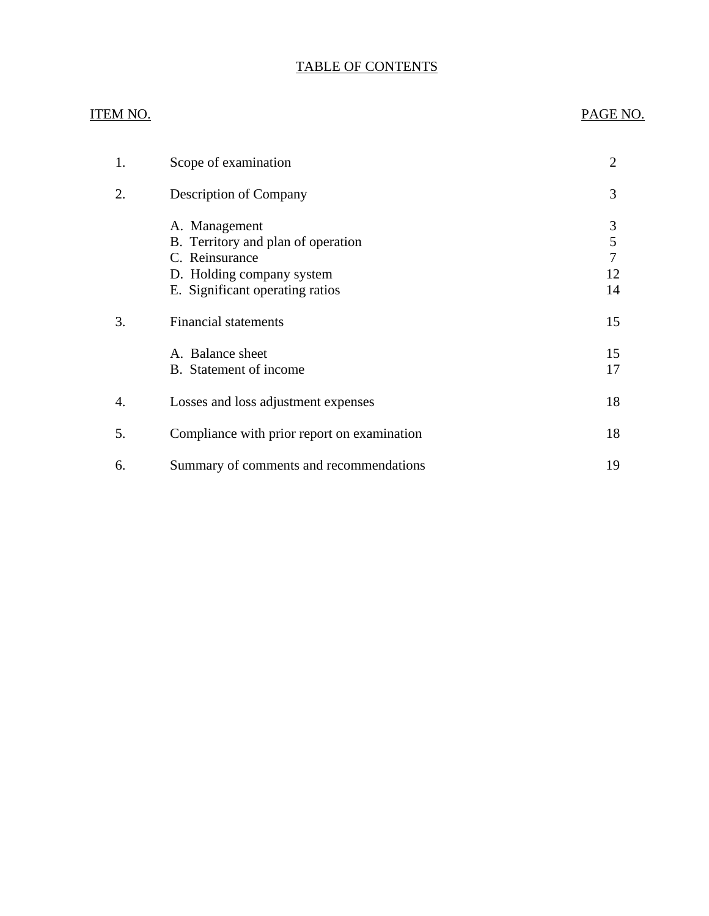# TABLE OF CONTENTS

## ITEM NO. PAGE NO.

| 1. | Scope of examination                                                                                                                  | $\overline{2}$          |
|----|---------------------------------------------------------------------------------------------------------------------------------------|-------------------------|
| 2. | <b>Description of Company</b>                                                                                                         | 3                       |
|    | A. Management<br>B. Territory and plan of operation<br>C. Reinsurance<br>D. Holding company system<br>E. Significant operating ratios | 3<br>5<br>7<br>12<br>14 |
| 3. | <b>Financial statements</b>                                                                                                           | 15                      |
|    | A. Balance sheet<br>B. Statement of income                                                                                            | 15<br>17                |
| 4. | Losses and loss adjustment expenses                                                                                                   | 18                      |
| 5. | Compliance with prior report on examination                                                                                           | 18                      |
| 6. | Summary of comments and recommendations                                                                                               | 19                      |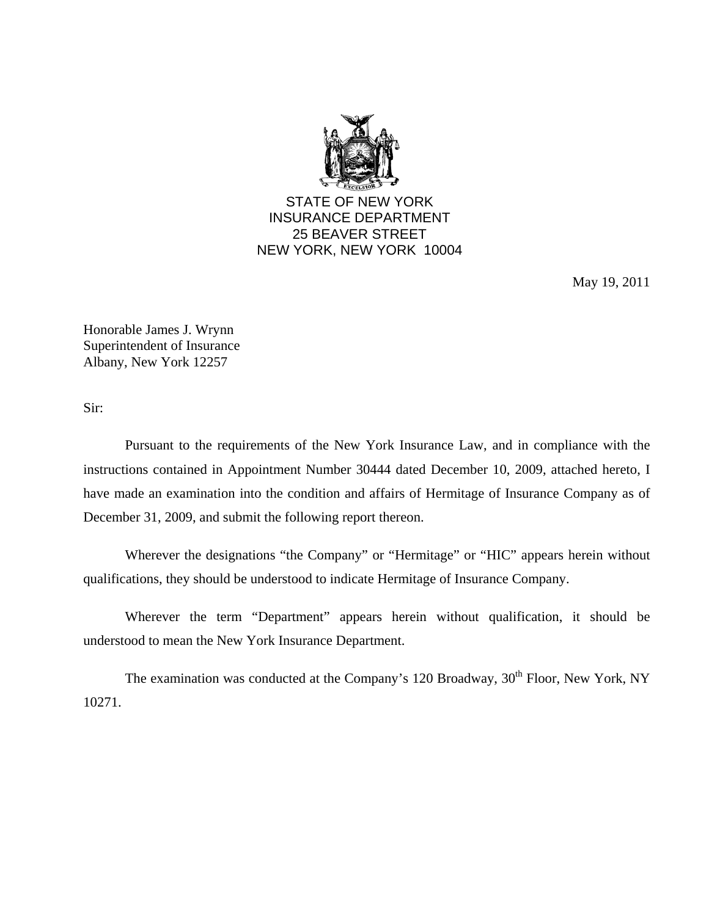

STATE OF NEW YORK INSURANCE DEPARTMENT 25 BEAVER STREET NEW YORK, NEW YORK 10004

May 19, 2011

Honorable James J. Wrynn Superintendent of Insurance Albany, New York 12257

Sir:

Pursuant to the requirements of the New York Insurance Law, and in compliance with the instructions contained in Appointment Number 30444 dated December 10, 2009, attached hereto, I have made an examination into the condition and affairs of Hermitage of Insurance Company as of December 31, 2009, and submit the following report thereon.

Wherever the designations "the Company" or "Hermitage" or "HIC" appears herein without qualifications, they should be understood to indicate Hermitage of Insurance Company.

Wherever the term "Department" appears herein without qualification, it should be understood to mean the New York Insurance Department.

The examination was conducted at the Company's 120 Broadway, 30<sup>th</sup> Floor, New York, NY 10271.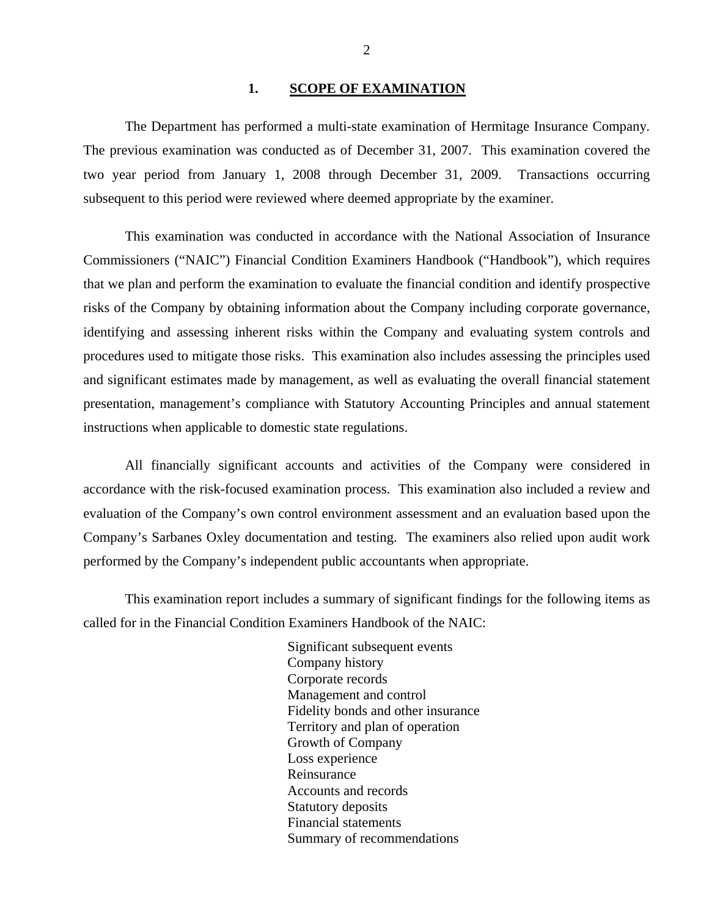#### 1. SCOPE OF EXAMINATION

<span id="page-3-0"></span>The Department has performed a multi-state examination of Hermitage Insurance Company*.*  The previous examination was conducted as of December 31, 2007. This examination covered the two year period from January 1, 2008 through December 31, 2009. Transactions occurring subsequent to this period were reviewed where deemed appropriate by the examiner.

This examination was conducted in accordance with the National Association of Insurance Commissioners ("NAIC") Financial Condition Examiners Handbook ("Handbook"), which requires that we plan and perform the examination to evaluate the financial condition and identify prospective risks of the Company by obtaining information about the Company including corporate governance, identifying and assessing inherent risks within the Company and evaluating system controls and procedures used to mitigate those risks. This examination also includes assessing the principles used and significant estimates made by management, as well as evaluating the overall financial statement presentation, management's compliance with Statutory Accounting Principles and annual statement instructions when applicable to domestic state regulations.

All financially significant accounts and activities of the Company were considered in accordance with the risk-focused examination process. This examination also included a review and evaluation of the Company's own control environment assessment and an evaluation based upon the Company's Sarbanes Oxley documentation and testing. The examiners also relied upon audit work performed by the Company's independent public accountants when appropriate.

This examination report includes a summary of significant findings for the following items as called for in the Financial Condition Examiners Handbook of the NAIC:

> Significant subsequent events Company history Corporate records Management and control Fidelity bonds and other insurance Territory and plan of operation Growth of Company Loss experience Reinsurance Accounts and records Statutory deposits Financial statements Summary of recommendations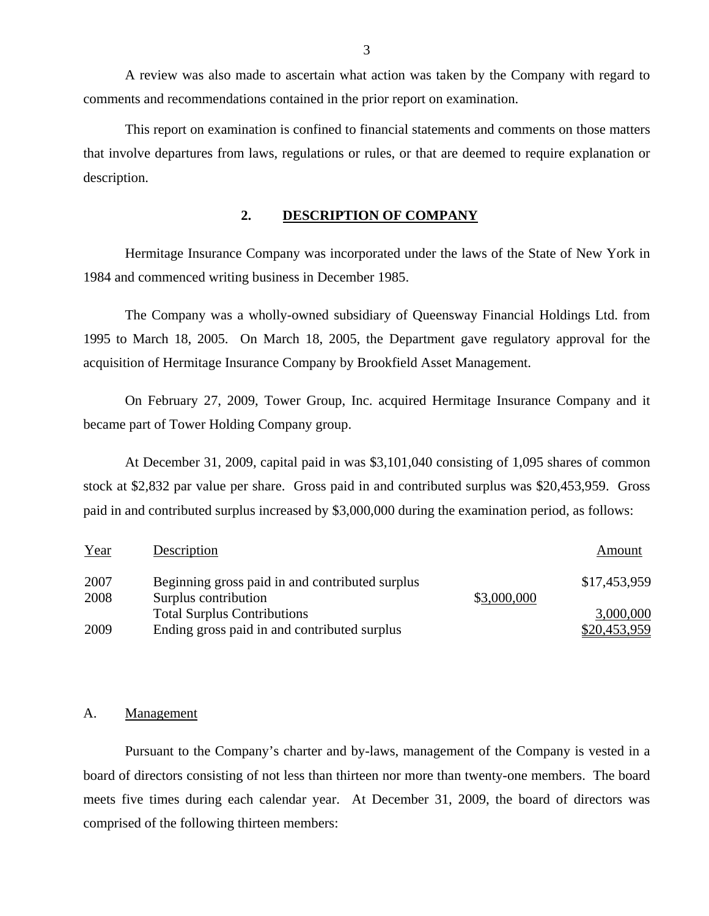A review was also made to ascertain what action was taken by the Company with regard to comments and recommendations contained in the prior report on examination.

This report on examination is confined to financial statements and comments on those matters that involve departures from laws, regulations or rules, or that are deemed to require explanation or description.

### **2. DESCRIPTION OF COMPANY**

Hermitage Insurance Company was incorporated under the laws of the State of New York in 1984 and commenced writing business in December 1985.

The Company was a wholly-owned subsidiary of Queensway Financial Holdings Ltd. from 1995 to March 18, 2005. On March 18, 2005, the Department gave regulatory approval for the acquisition of Hermitage Insurance Company by Brookfield Asset Management.

On February 27, 2009, Tower Group, Inc. acquired Hermitage Insurance Company and it became part of Tower Holding Company group.

At December 31, 2009, capital paid in was \$3,101,040 consisting of 1,095 shares of common stock at \$2,832 par value per share. Gross paid in and contributed surplus was \$20,453,959. Gross paid in and contributed surplus increased by \$3,000,000 during the examination period, as follows:

| Year | Description                                     |             | Amount       |
|------|-------------------------------------------------|-------------|--------------|
| 2007 | Beginning gross paid in and contributed surplus |             | \$17,453,959 |
| 2008 | Surplus contribution                            | \$3,000,000 |              |
|      | <b>Total Surplus Contributions</b>              |             | 3,000,000    |
| 2009 | Ending gross paid in and contributed surplus    |             | \$20,453,959 |

#### A. Management

Pursuant to the Company's charter and by-laws, management of the Company is vested in a board of directors consisting of not less than thirteen nor more than twenty-one members. The board meets five times during each calendar year. At December 31, 2009, the board of directors was comprised of the following thirteen members: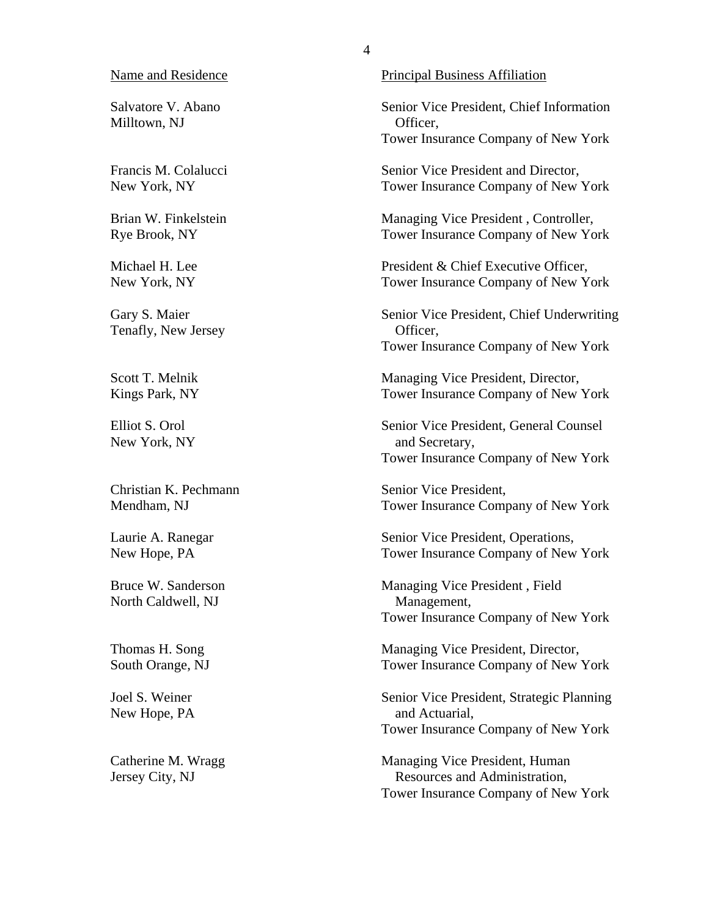Salvatore V. Abano Milltown, NJ

Francis M. Colalucci New York, NY

Brian W. Finkelstein Rye Brook, NY

Michael H. Lee New York, NY

Gary S. Maier Tenafly, New Jersey

Scott T. Melnik Kings Park, NY

Elliot S. Orol New York, NY

Christian K. Pechmann Mendham, NJ

Laurie A. Ranegar New Hope, PA

Bruce W. Sanderson North Caldwell, NJ

Thomas H. Song South Orange, NJ

Joel S. Weiner New Hope, PA

Catherine M. Wragg Jersey City, NJ

Name and Residence Principal Business Affiliation

Senior Vice President, Chief Information Officer, Tower Insurance Company of New York

Senior Vice President and Director, Tower Insurance Company of New York

Managing Vice President , Controller, Tower Insurance Company of New York

President & Chief Executive Officer, Tower Insurance Company of New York

Senior Vice President, Chief Underwriting Officer, Tower Insurance Company of New York

Managing Vice President, Director, Tower Insurance Company of New York

Senior Vice President, General Counsel and Secretary, Tower Insurance Company of New York

Senior Vice President, Tower Insurance Company of New York

Senior Vice President, Operations, Tower Insurance Company of New York

Managing Vice President , Field Management, Tower Insurance Company of New York

Managing Vice President, Director, Tower Insurance Company of New York

Senior Vice President, Strategic Planning and Actuarial, Tower Insurance Company of New York

Managing Vice President, Human Resources and Administration, Tower Insurance Company of New York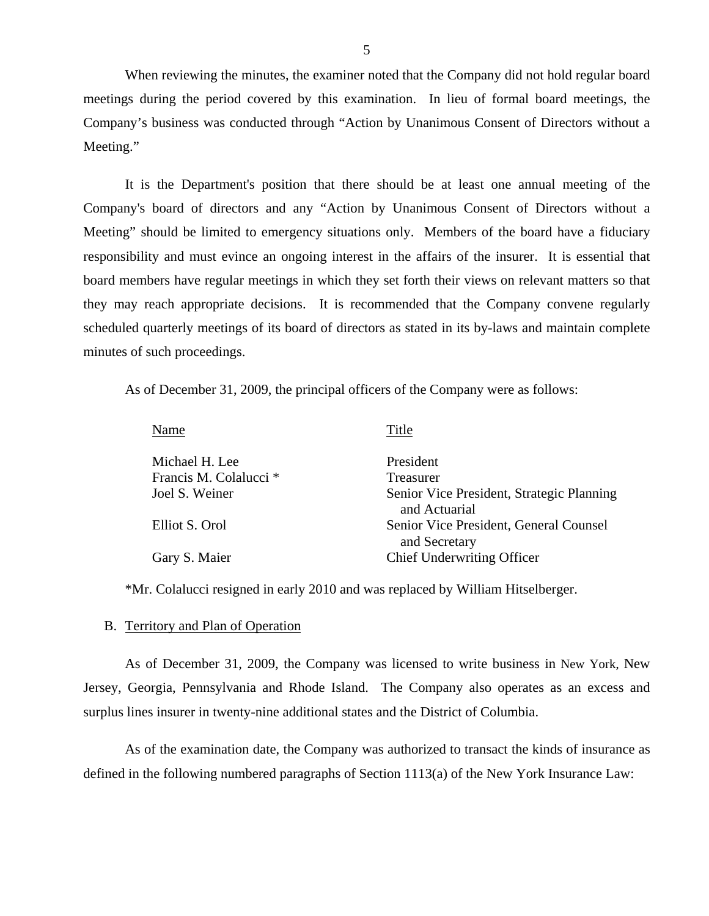When reviewing the minutes, the examiner noted that the Company did not hold regular board meetings during the period covered by this examination. In lieu of formal board meetings, the Company's business was conducted through "Action by Unanimous Consent of Directors without a Meeting."

It is the Department's position that there should be at least one annual meeting of the Company's board of directors and any "Action by Unanimous Consent of Directors without a Meeting" should be limited to emergency situations only. Members of the board have a fiduciary responsibility and must evince an ongoing interest in the affairs of the insurer. It is essential that board members have regular meetings in which they set forth their views on relevant matters so that they may reach appropriate decisions. It is recommended that the Company convene regularly scheduled quarterly meetings of its board of directors as stated in its by-laws and maintain complete minutes of such proceedings.

As of December 31, 2009, the principal officers of the Company were as follows:

| President<br>Michael H. Lee<br>Francis M. Colalucci <sup>*</sup><br>Treasurer<br>Joel S. Weiner<br>and Actuarial<br>Elliot S. Orol<br>and Secretary<br><b>Chief Underwriting Officer</b><br>Gary S. Maier | Name | Title                                     |
|-----------------------------------------------------------------------------------------------------------------------------------------------------------------------------------------------------------|------|-------------------------------------------|
|                                                                                                                                                                                                           |      |                                           |
|                                                                                                                                                                                                           |      |                                           |
|                                                                                                                                                                                                           |      | Senior Vice President, Strategic Planning |
|                                                                                                                                                                                                           |      | Senior Vice President, General Counsel    |
|                                                                                                                                                                                                           |      |                                           |

\*Mr. Colalucci resigned in early 2010 and was replaced by William Hitselberger.

#### B. Territory and Plan of Operation

As of December 31, 2009, the Company was licensed to write business in New York, New Jersey, Georgia, Pennsylvania and Rhode Island. The Company also operates as an excess and surplus lines insurer in twenty-nine additional states and the District of Columbia.

As of the examination date, the Company was authorized to transact the kinds of insurance as defined in the following numbered paragraphs of Section 1113(a) of the New York Insurance Law: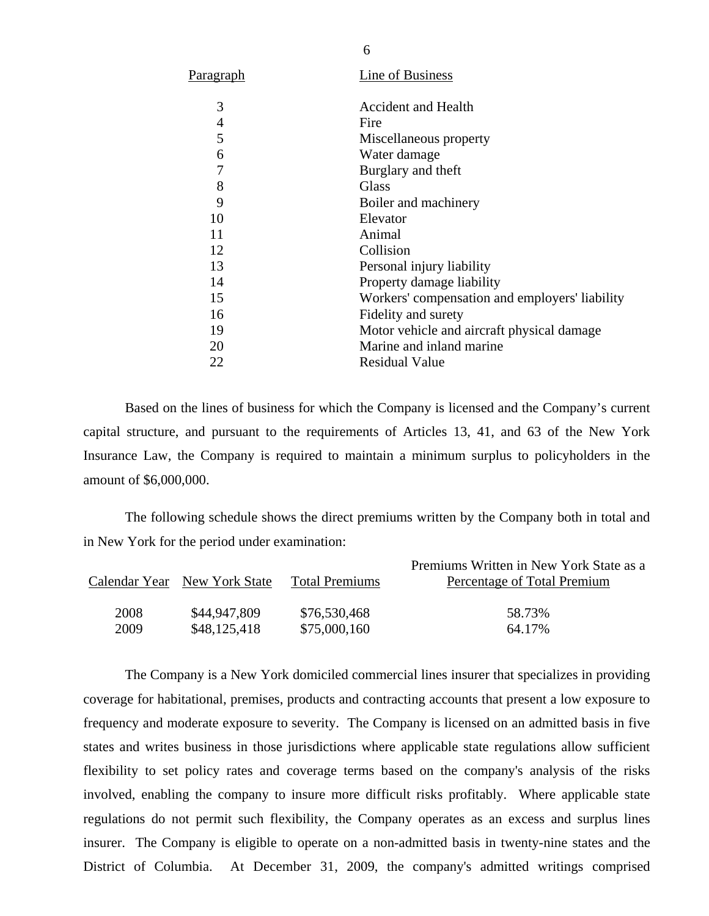| Paragraph | Line of Business                               |
|-----------|------------------------------------------------|
| 3         | <b>Accident and Health</b>                     |
| 4         | Fire                                           |
| 5         | Miscellaneous property                         |
| 6         | Water damage                                   |
| 7         | Burglary and theft                             |
| 8         | Glass                                          |
| 9         | Boiler and machinery                           |
| 10        | Elevator                                       |
| 11        | Animal                                         |
| 12        | Collision                                      |
| 13        | Personal injury liability                      |
| 14        | Property damage liability                      |
| 15        | Workers' compensation and employers' liability |
| 16        | Fidelity and surety                            |
| 19        | Motor vehicle and aircraft physical damage     |
| 20        | Marine and inland marine                       |
| 22        | Residual Value                                 |
|           |                                                |

Based on the lines of business for which the Company is licensed and the Company's current capital structure, and pursuant to the requirements of Articles 13, 41, and 63 of the New York Insurance Law, the Company is required to maintain a minimum surplus to policyholders in the amount of \$6,000,000.

The following schedule shows the direct premiums written by the Company both in total and in New York for the period under examination:

|      | Calendar Year New York State | <b>Total Premiums</b> | Premiums Written in New York State as a<br>Percentage of Total Premium |
|------|------------------------------|-----------------------|------------------------------------------------------------------------|
| 2008 | \$44,947,809                 | \$76,530,468          | 58.73%                                                                 |
| 2009 | \$48,125,418                 | \$75,000,160          | 64.17%                                                                 |

The Company is a New York domiciled commercial lines insurer that specializes in providing coverage for habitational, premises, products and contracting accounts that present a low exposure to frequency and moderate exposure to severity. The Company is licensed on an admitted basis in five states and writes business in those jurisdictions where applicable state regulations allow sufficient flexibility to set policy rates and coverage terms based on the company's analysis of the risks involved, enabling the company to insure more difficult risks profitably. Where applicable state regulations do not permit such flexibility, the Company operates as an excess and surplus lines insurer. The Company is eligible to operate on a non-admitted basis in twenty-nine states and the District of Columbia. At December 31, 2009, the company's admitted writings comprised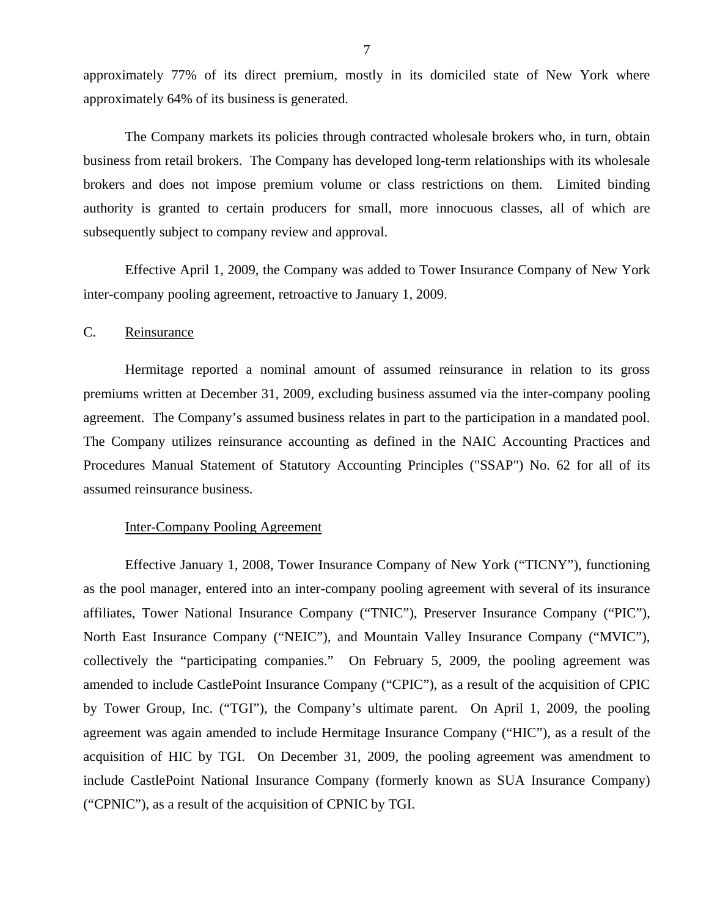<span id="page-8-0"></span>approximately 77% of its direct premium, mostly in its domiciled state of New York where approximately 64% of its business is generated.

The Company markets its policies through contracted wholesale brokers who, in turn, obtain business from retail brokers. The Company has developed long-term relationships with its wholesale brokers and does not impose premium volume or class restrictions on them. Limited binding authority is granted to certain producers for small, more innocuous classes, all of which are subsequently subject to company review and approval.

Effective April 1, 2009, the Company was added to Tower Insurance Company of New York inter-company pooling agreement, retroactive to January 1, 2009.

## C. Reinsurance

Hermitage reported a nominal amount of assumed reinsurance in relation to its gross premiums written at December 31, 2009, excluding business assumed via the inter-company pooling agreement. The Company's assumed business relates in part to the participation in a mandated pool. The Company utilizes reinsurance accounting as defined in the NAIC Accounting Practices and Procedures Manual Statement of Statutory Accounting Principles ("SSAP") No. 62 for all of its assumed reinsurance business.

#### Inter-Company Pooling Agreement

Effective January 1, 2008, Tower Insurance Company of New York ("TICNY"), functioning as the pool manager, entered into an inter-company pooling agreement with several of its insurance affiliates, Tower National Insurance Company ("TNIC"), Preserver Insurance Company ("PIC"), North East Insurance Company ("NEIC"), and Mountain Valley Insurance Company ("MVIC"), collectively the "participating companies." On February 5, 2009, the pooling agreement was amended to include CastlePoint Insurance Company ("CPIC"), as a result of the acquisition of CPIC by Tower Group, Inc. ("TGI"), the Company's ultimate parent. On April 1, 2009, the pooling agreement was again amended to include Hermitage Insurance Company ("HIC"), as a result of the acquisition of HIC by TGI. On December 31, 2009, the pooling agreement was amendment to include CastlePoint National Insurance Company (formerly known as SUA Insurance Company) ("CPNIC"), as a result of the acquisition of CPNIC by TGI.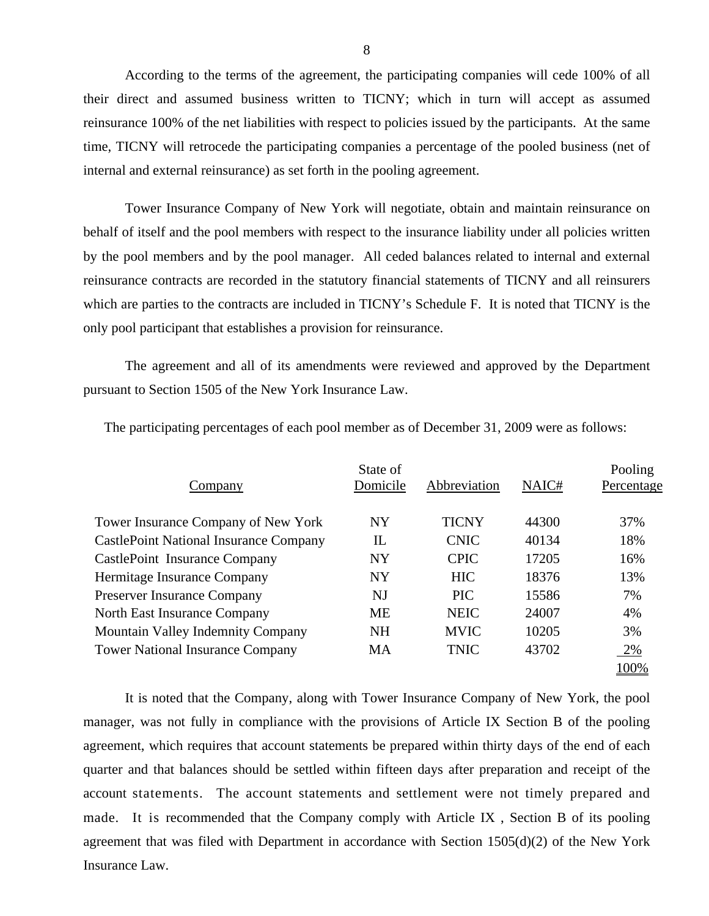According to the terms of the agreement, the participating companies will cede 100% of all their direct and assumed business written to TICNY; which in turn will accept as assumed reinsurance 100% of the net liabilities with respect to policies issued by the participants. At the same time, TICNY will retrocede the participating companies a percentage of the pooled business (net of internal and external reinsurance) as set forth in the pooling agreement.

Tower Insurance Company of New York will negotiate, obtain and maintain reinsurance on behalf of itself and the pool members with respect to the insurance liability under all policies written by the pool members and by the pool manager. All ceded balances related to internal and external reinsurance contracts are recorded in the statutory financial statements of TICNY and all reinsurers which are parties to the contracts are included in TICNY's Schedule F. It is noted that TICNY is the only pool participant that establishes a provision for reinsurance.

The agreement and all of its amendments were reviewed and approved by the Department pursuant to Section 1505 of the New York Insurance Law.

| Company                                       | State of<br>Domicile | Abbreviation | NAIC# | Pooling<br>Percentage |
|-----------------------------------------------|----------------------|--------------|-------|-----------------------|
| Tower Insurance Company of New York           | <b>NY</b>            | <b>TICNY</b> | 44300 | 37%                   |
| <b>CastlePoint National Insurance Company</b> | $_{\rm IL}$          | <b>CNIC</b>  | 40134 | 18%                   |
| CastlePoint Insurance Company                 | <b>NY</b>            | <b>CPIC</b>  | 17205 | 16%                   |
| <b>Hermitage Insurance Company</b>            | <b>NY</b>            | <b>HIC</b>   | 18376 | 13%                   |
| <b>Preserver Insurance Company</b>            | <b>NJ</b>            | <b>PIC</b>   | 15586 | 7%                    |
| <b>North East Insurance Company</b>           | <b>ME</b>            | <b>NEIC</b>  | 24007 | 4%                    |
| <b>Mountain Valley Indemnity Company</b>      | <b>NH</b>            | <b>MVIC</b>  | 10205 | 3%                    |
| <b>Tower National Insurance Company</b>       | <b>MA</b>            | <b>TNIC</b>  | 43702 | $2\%$                 |
|                                               |                      |              |       | 100%                  |

The participating percentages of each pool member as of December 31, 2009 were as follows:

It is noted that the Company, along with Tower Insurance Company of New York, the pool manager, was not fully in compliance with the provisions of Article IX Section B of the pooling agreement, which requires that account statements be prepared within thirty days of the end of each quarter and that balances should be settled within fifteen days after preparation and receipt of the account statements. The account statements and settlement were not timely prepared and made. It is recommended that the Company comply with Article IX , Section B of its pooling agreement that was filed with Department in accordance with Section 1505(d)(2) of the New York Insurance Law.

8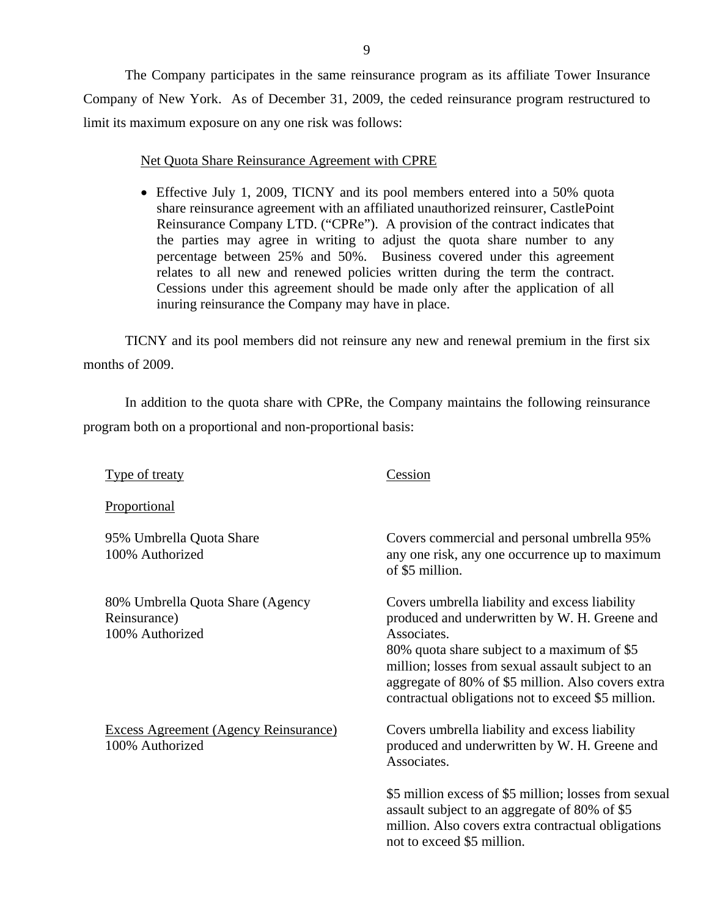The Company participates in the same reinsurance program as its affiliate Tower Insurance Company of New York. As of December 31, 2009, the ceded reinsurance program restructured to limit its maximum exposure on any one risk was follows:

## Net Quota Share Reinsurance Agreement with CPRE

 Effective July 1, 2009, TICNY and its pool members entered into a 50% quota share reinsurance agreement with an affiliated unauthorized reinsurer, CastlePoint Reinsurance Company LTD. ("CPRe"). A provision of the contract indicates that the parties may agree in writing to adjust the quota share number to any percentage between 25% and 50%. Business covered under this agreement relates to all new and renewed policies written during the term the contract. Cessions under this agreement should be made only after the application of all inuring reinsurance the Company may have in place.

TICNY and its pool members did not reinsure any new and renewal premium in the first six months of 2009.

In addition to the quota share with CPRe, the Company maintains the following reinsurance program both on a proportional and non-proportional basis:

Type of treaty

Cession

**Proportional** 

100% Authorized

95% Umbrella Quota Share 100% Authorized

80% Umbrella Quota Share (Agency Reinsurance) 100% Authorized

Excess Agreement (Agency Reinsurance)

Covers commercial and personal umbrella 95% any one risk, any one occurrence up to maximum of \$5 million.

Covers umbrella liability and excess liability produced and underwritten by W. H. Greene and Associates.

80% quota share subject to a maximum of \$5 million; losses from sexual assault subject to an aggregate of 80% of \$5 million. Also covers extra contractual obligations not to exceed \$5 million.

Covers umbrella liability and excess liability produced and underwritten by W. H. Greene and Associates.

\$5 million excess of \$5 million; losses from sexual assault subject to an aggregate of 80% of \$5 million. Also covers extra contractual obligations not to exceed \$5 million.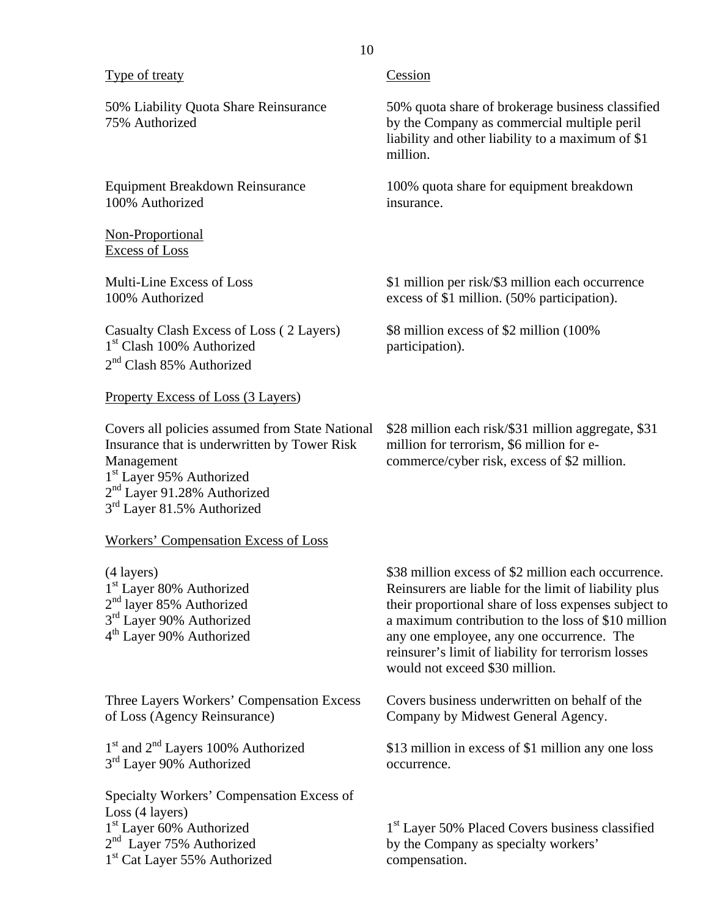| <b>Type of treaty</b>                                                                                                                                                                                                                      | Cession                                                                                                                                                                                                                                                                                                                                                          |
|--------------------------------------------------------------------------------------------------------------------------------------------------------------------------------------------------------------------------------------------|------------------------------------------------------------------------------------------------------------------------------------------------------------------------------------------------------------------------------------------------------------------------------------------------------------------------------------------------------------------|
| 50% Liability Quota Share Reinsurance<br>75% Authorized                                                                                                                                                                                    | 50% quota share of brokerage business classified<br>by the Company as commercial multiple peril<br>liability and other liability to a maximum of \$1<br>million.                                                                                                                                                                                                 |
| <b>Equipment Breakdown Reinsurance</b><br>100% Authorized                                                                                                                                                                                  | 100% quota share for equipment breakdown<br>insurance.                                                                                                                                                                                                                                                                                                           |
| Non-Proportional<br><b>Excess of Loss</b>                                                                                                                                                                                                  |                                                                                                                                                                                                                                                                                                                                                                  |
| Multi-Line Excess of Loss<br>100% Authorized                                                                                                                                                                                               | \$1 million per risk/\$3 million each occurrence<br>excess of \$1 million. (50% participation).                                                                                                                                                                                                                                                                  |
| Casualty Clash Excess of Loss (2 Layers)<br>1 <sup>st</sup> Clash 100% Authorized<br>$2nd$ Clash 85% Authorized                                                                                                                            | \$8 million excess of \$2 million (100%)<br>participation).                                                                                                                                                                                                                                                                                                      |
| <b>Property Excess of Loss (3 Layers)</b>                                                                                                                                                                                                  |                                                                                                                                                                                                                                                                                                                                                                  |
| Covers all policies assumed from State National<br>Insurance that is underwritten by Tower Risk<br>Management<br>1 <sup>st</sup> Layer 95% Authorized<br>2 <sup>nd</sup> Layer 91.28% Authorized<br>3 <sup>rd</sup> Layer 81.5% Authorized | \$28 million each risk/\$31 million aggregate, \$31<br>million for terrorism, \$6 million for e-<br>commerce/cyber risk, excess of \$2 million.                                                                                                                                                                                                                  |
| Workers' Compensation Excess of Loss                                                                                                                                                                                                       |                                                                                                                                                                                                                                                                                                                                                                  |
| (4 layers)<br>1 <sup>st</sup> Layer 80% Authorized<br>$2nd$ layer 85% Authorized<br>3 <sup>rd</sup> Layer 90% Authorized<br>4 <sup>th</sup> Layer 90% Authorized                                                                           | \$38 million excess of \$2 million each occurrence.<br>Reinsurers are liable for the limit of liability plus<br>their proportional share of loss expenses subject to<br>a maximum contribution to the loss of \$10 million<br>any one employee, any one occurrence. The<br>reinsurer's limit of liability for terrorism losses<br>would not exceed \$30 million. |
| Three Layers Workers' Compensation Excess<br>of Loss (Agency Reinsurance)                                                                                                                                                                  | Covers business underwritten on behalf of the<br>Company by Midwest General Agency.                                                                                                                                                                                                                                                                              |
| 1 <sup>st</sup> and 2 <sup>nd</sup> Layers 100% Authorized<br>3 <sup>rd</sup> Layer 90% Authorized                                                                                                                                         | \$13 million in excess of \$1 million any one loss<br>occurrence.                                                                                                                                                                                                                                                                                                |
| Specialty Workers' Compensation Excess of<br>Loss (4 layers)<br>1 <sup>st</sup> Layer 60% Authorized<br>$2nd$ Layer 75% Authorized<br>1 <sup>st</sup> Cat Layer 55% Authorized                                                             | 1 <sup>st</sup> Layer 50% Placed Covers business classified<br>by the Company as specialty workers'<br>compensation.                                                                                                                                                                                                                                             |

10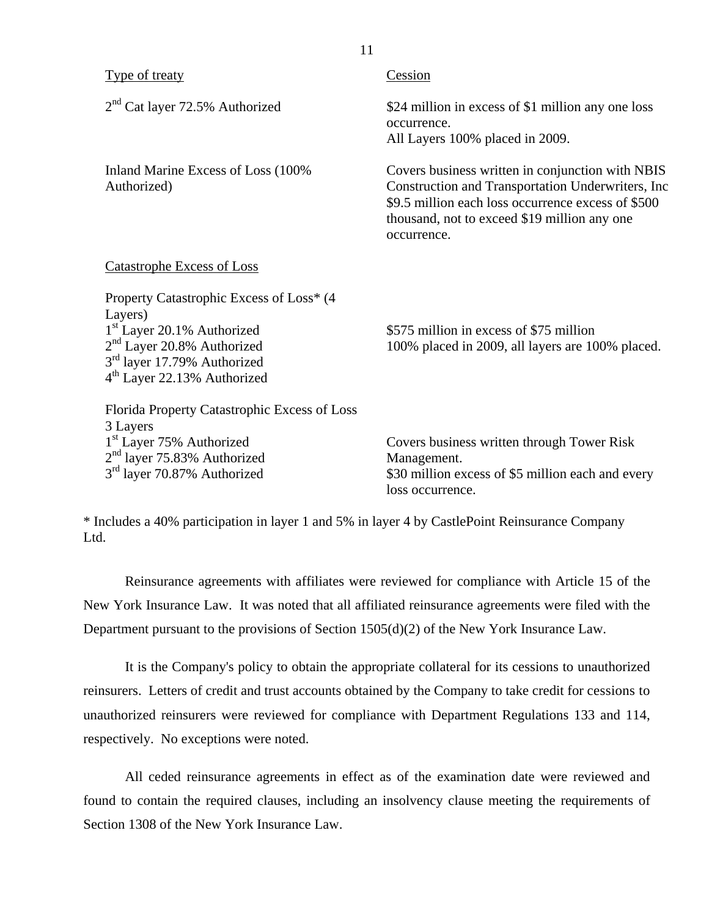| Type of treaty                                                                                                                                                                                                                 | Cession                                                                                                                                                                                                                     |
|--------------------------------------------------------------------------------------------------------------------------------------------------------------------------------------------------------------------------------|-----------------------------------------------------------------------------------------------------------------------------------------------------------------------------------------------------------------------------|
| $2nd$ Cat layer 72.5% Authorized                                                                                                                                                                                               | \$24 million in excess of \$1 million any one loss<br>occurrence.<br>All Layers 100% placed in 2009.                                                                                                                        |
| Inland Marine Excess of Loss (100%)<br>Authorized)                                                                                                                                                                             | Covers business written in conjunction with NBIS<br>Construction and Transportation Underwriters, Inc.<br>\$9.5 million each loss occurrence excess of \$500<br>thousand, not to exceed \$19 million any one<br>occurrence. |
| <b>Catastrophe Excess of Loss</b>                                                                                                                                                                                              |                                                                                                                                                                                                                             |
| Property Catastrophic Excess of Loss* (4)<br>Layers)<br>1 <sup>st</sup> Layer 20.1% Authorized<br>2 <sup>nd</sup> Layer 20.8% Authorized<br>3 <sup>rd</sup> layer 17.79% Authorized<br>4 <sup>th</sup> Layer 22.13% Authorized | \$575 million in excess of \$75 million<br>100% placed in 2009, all layers are 100% placed.                                                                                                                                 |
| Florida Property Catastrophic Excess of Loss<br>3 Layers<br>1 <sup>st</sup> Layer 75% Authorized<br>$2nd$ layer 75.83% Authorized<br>3 <sup>rd</sup> layer 70.87% Authorized                                                   | Covers business written through Tower Risk<br>Management.<br>\$30 million excess of \$5 million each and every<br>loss occurrence.                                                                                          |

11

\* Includes a 40% participation in layer 1 and 5% in layer 4 by CastlePoint Reinsurance Company Ltd.

Reinsurance agreements with affiliates were reviewed for compliance with Article 15 of the New York Insurance Law. It was noted that all affiliated reinsurance agreements were filed with the Department pursuant to the provisions of Section 1505(d)(2) of the New York Insurance Law.

It is the Company's policy to obtain the appropriate collateral for its cessions to unauthorized reinsurers. Letters of credit and trust accounts obtained by the Company to take credit for cessions to unauthorized reinsurers were reviewed for compliance with Department Regulations 133 and 114, respectively. No exceptions were noted.

All ceded reinsurance agreements in effect as of the examination date were reviewed and found to contain the required clauses, including an insolvency clause meeting the requirements of Section 1308 of the New York Insurance Law.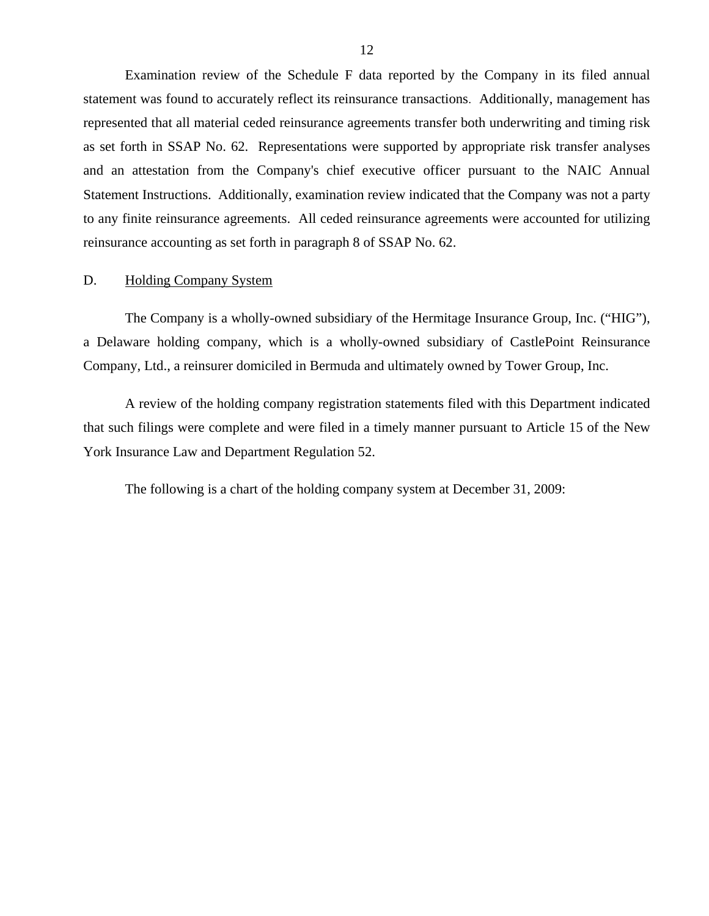<span id="page-13-0"></span>Examination review of the Schedule F data reported by the Company in its filed annual statement was found to accurately reflect its reinsurance transactions. Additionally, management has represented that all material ceded reinsurance agreements transfer both underwriting and timing risk as set forth in SSAP No. 62. Representations were supported by appropriate risk transfer analyses and an attestation from the Company's chief executive officer pursuant to the NAIC Annual Statement Instructions. Additionally, examination review indicated that the Company was not a party to any finite reinsurance agreements. All ceded reinsurance agreements were accounted for utilizing reinsurance accounting as set forth in paragraph 8 of SSAP No. 62.

## D. Holding Company System

The Company is a wholly-owned subsidiary of the Hermitage Insurance Group, Inc. ("HIG"), a Delaware holding company, which is a wholly-owned subsidiary of CastlePoint Reinsurance Company, Ltd., a reinsurer domiciled in Bermuda and ultimately owned by Tower Group, Inc.

A review of the holding company registration statements filed with this Department indicated that such filings were complete and were filed in a timely manner pursuant to Article 15 of the New York Insurance Law and Department Regulation 52.

The following is a chart of the holding company system at December 31, 2009: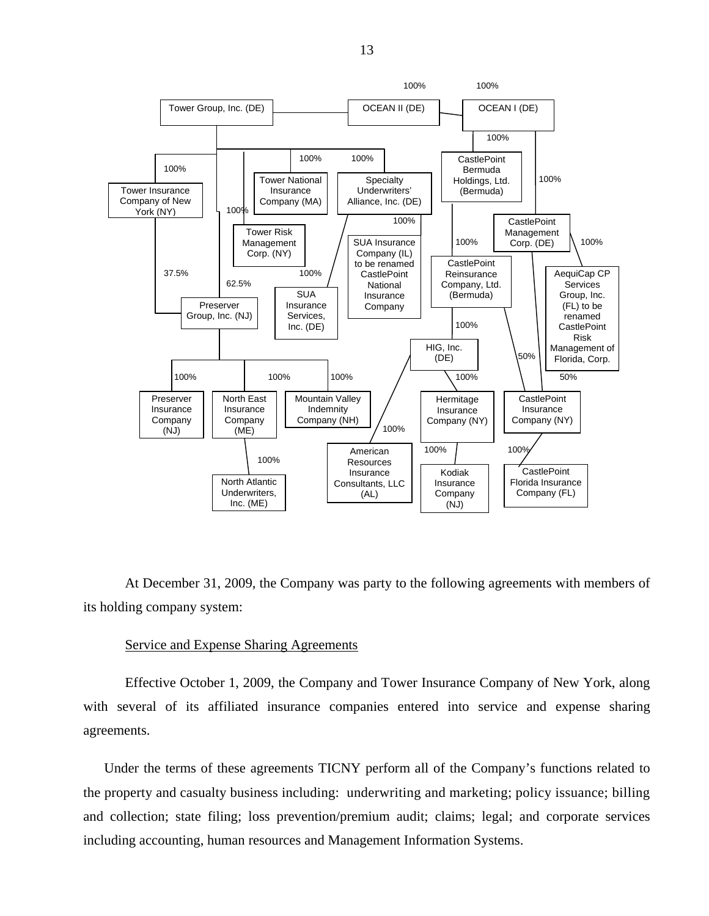

At December 31, 2009, the Company was party to the following agreements with members of its holding company system:

#### Service and Expense Sharing Agreements

Effective October 1, 2009, the Company and Tower Insurance Company of New York, along with several of its affiliated insurance companies entered into service and expense sharing agreements.

Under the terms of these agreements TICNY perform all of the Company's functions related to the property and casualty business including: underwriting and marketing; policy issuance; billing and collection; state filing; loss prevention/premium audit; claims; legal; and corporate services including accounting, human resources and Management Information Systems.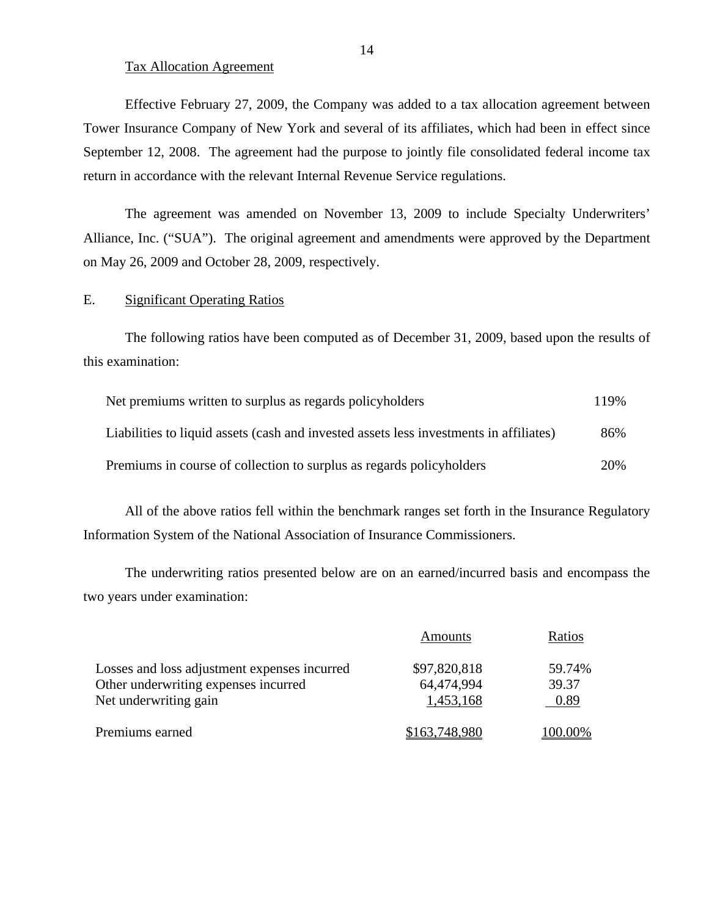#### Tax Allocation Agreement

Effective February 27, 2009, the Company was added to a tax allocation agreement between Tower Insurance Company of New York and several of its affiliates, which had been in effect since September 12, 2008. The agreement had the purpose to jointly file consolidated federal income tax return in accordance with the relevant Internal Revenue Service regulations.

The agreement was amended on November 13, 2009 to include Specialty Underwriters' Alliance, Inc. ("SUA"). The original agreement and amendments were approved by the Department on May 26, 2009 and October 28, 2009, respectively.

## E. Significant Operating Ratios

The following ratios have been computed as of December 31, 2009, based upon the results of this examination:

| Net premiums written to surplus as regards policyholders                               | 119% |
|----------------------------------------------------------------------------------------|------|
| Liabilities to liquid assets (cash and invested assets less investments in affiliates) | 86%  |
| Premiums in course of collection to surplus as regards policyholders                   | 20%  |

All of the above ratios fell within the benchmark ranges set forth in the Insurance Regulatory Information System of the National Association of Insurance Commissioners.

The underwriting ratios presented below are on an earned/incurred basis and encompass the two years under examination:

|                                              | Amounts       | Ratios  |
|----------------------------------------------|---------------|---------|
| Losses and loss adjustment expenses incurred | \$97,820,818  | 59.74%  |
| Other underwriting expenses incurred         | 64.474.994    | 39.37   |
| Net underwriting gain                        | 1,453,168     | 0.89    |
| Premiums earned                              | \$163,748,980 | 100.00% |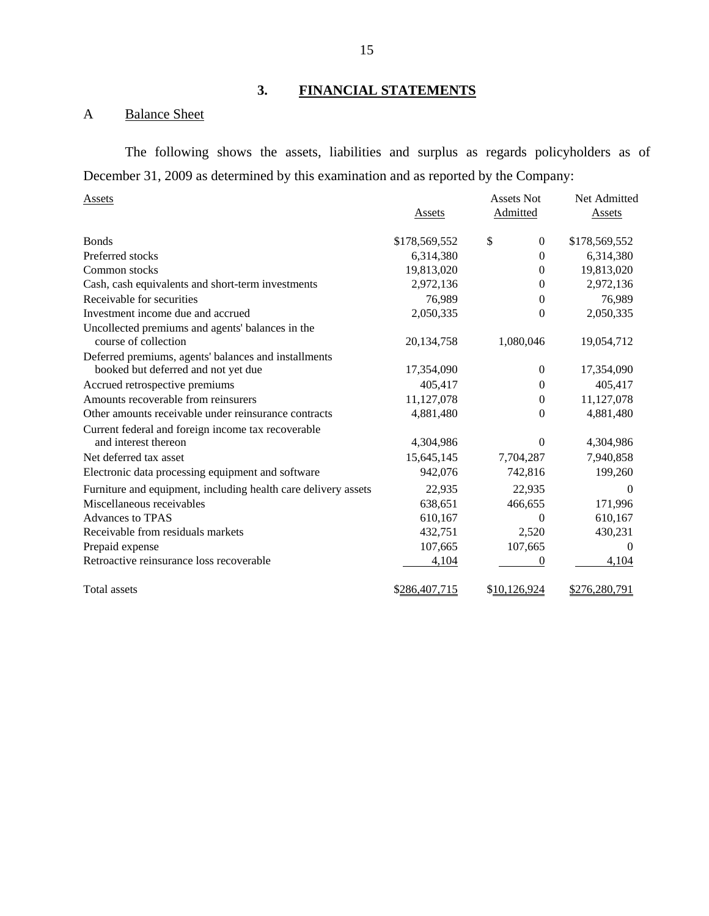# **3. FINANCIAL STATEMENTS**

# A Balance Sheet

The following shows the assets, liabilities and surplus as regards policyholders as of December 31, 2009 as determined by this examination and as reported by the Company:

| <b>Assets</b>                                                  |               | <b>Assets Not</b>  | Net Admitted  |
|----------------------------------------------------------------|---------------|--------------------|---------------|
|                                                                | Assets        | Admitted           | Assets        |
| <b>Bonds</b>                                                   | \$178,569,552 | \$<br>$\mathbf{0}$ | \$178,569,552 |
| Preferred stocks                                               | 6,314,380     | $\theta$           | 6,314,380     |
| Common stocks                                                  | 19,813,020    | $\theta$           | 19,813,020    |
| Cash, cash equivalents and short-term investments              | 2,972,136     | 0                  | 2,972,136     |
| Receivable for securities                                      | 76,989        | $\Omega$           | 76,989        |
| Investment income due and accrued                              | 2,050,335     | $\theta$           | 2,050,335     |
| Uncollected premiums and agents' balances in the               |               |                    |               |
| course of collection                                           | 20,134,758    | 1,080,046          | 19,054,712    |
| Deferred premiums, agents' balances and installments           |               |                    |               |
| booked but deferred and not yet due                            | 17,354,090    | $\Omega$           | 17,354,090    |
| Accrued retrospective premiums                                 | 405,417       | 0                  | 405,417       |
| Amounts recoverable from reinsurers                            | 11,127,078    | $\theta$           | 11,127,078    |
| Other amounts receivable under reinsurance contracts           | 4,881,480     | $\theta$           | 4,881,480     |
| Current federal and foreign income tax recoverable             |               |                    |               |
| and interest thereon                                           | 4,304,986     | 0                  | 4,304,986     |
| Net deferred tax asset                                         | 15,645,145    | 7,704,287          | 7,940,858     |
| Electronic data processing equipment and software              | 942,076       | 742,816            | 199,260       |
| Furniture and equipment, including health care delivery assets | 22,935        | 22,935             | $\theta$      |
| Miscellaneous receivables                                      | 638,651       | 466,655            | 171,996       |
| <b>Advances to TPAS</b>                                        | 610,167       | 0                  | 610,167       |
| Receivable from residuals markets                              | 432,751       | 2,520              | 430,231       |
| Prepaid expense                                                | 107,665       | 107,665            | $\Omega$      |
| Retroactive reinsurance loss recoverable                       | 4,104         | 0                  | 4,104         |
| <b>Total assets</b>                                            | \$286,407,715 | \$10,126,924       | \$276,280,791 |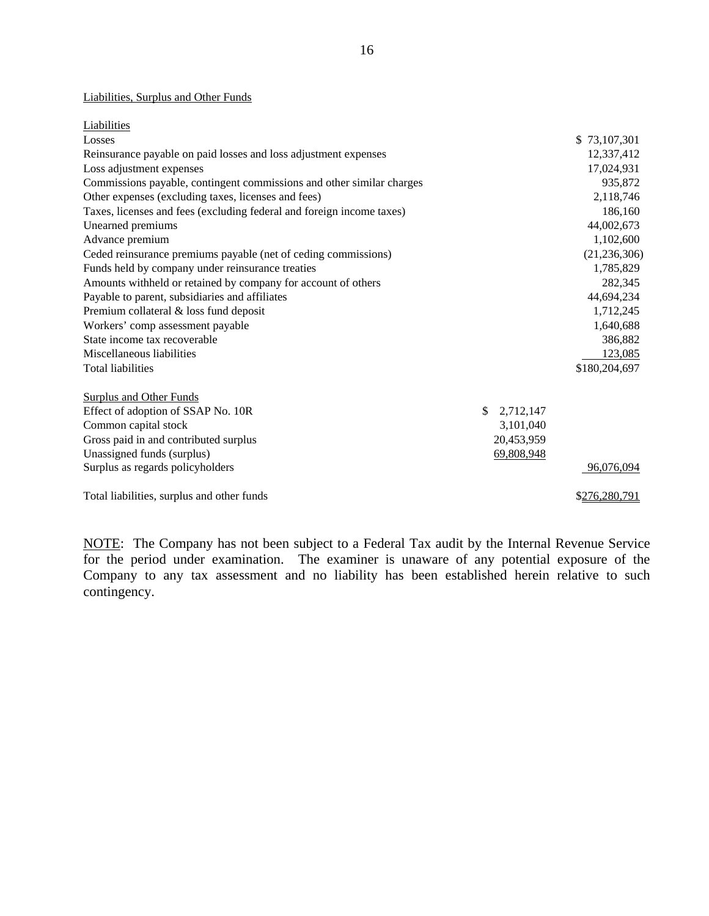#### Liabilities, Surplus and Other Funds

| Liabilities                                                           |                 |                |
|-----------------------------------------------------------------------|-----------------|----------------|
| Losses                                                                |                 | \$73,107,301   |
| Reinsurance payable on paid losses and loss adjustment expenses       |                 | 12,337,412     |
| Loss adjustment expenses                                              |                 | 17,024,931     |
| Commissions payable, contingent commissions and other similar charges |                 | 935,872        |
| Other expenses (excluding taxes, licenses and fees)                   |                 | 2,118,746      |
| Taxes, licenses and fees (excluding federal and foreign income taxes) |                 | 186,160        |
| Unearned premiums                                                     |                 | 44,002,673     |
| Advance premium                                                       |                 | 1,102,600      |
| Ceded reinsurance premiums payable (net of ceding commissions)        |                 | (21, 236, 306) |
| Funds held by company under reinsurance treaties                      |                 | 1,785,829      |
| Amounts withheld or retained by company for account of others         |                 | 282,345        |
| Payable to parent, subsidiaries and affiliates                        |                 | 44,694,234     |
| Premium collateral & loss fund deposit                                |                 | 1,712,245      |
| Workers' comp assessment payable                                      |                 | 1,640,688      |
| State income tax recoverable                                          |                 | 386,882        |
| Miscellaneous liabilities                                             |                 | 123,085        |
| <b>Total liabilities</b>                                              |                 | \$180,204,697  |
|                                                                       |                 |                |
| <b>Surplus and Other Funds</b>                                        |                 |                |
| Effect of adoption of SSAP No. 10R                                    | \$<br>2,712,147 |                |
| Common capital stock                                                  | 3,101,040       |                |
| Gross paid in and contributed surplus                                 | 20,453,959      |                |
| Unassigned funds (surplus)                                            | 69,808,948      |                |
| Surplus as regards policyholders                                      |                 | 96,076,094     |
| Total liabilities, surplus and other funds                            |                 | \$276,280,791  |
|                                                                       |                 |                |

NOTE: The Company has not been subject to a Federal Tax audit by the Internal Revenue Service for the period under examination. The examiner is unaware of any potential exposure of the Company to any tax assessment and no liability has been established herein relative to such contingency.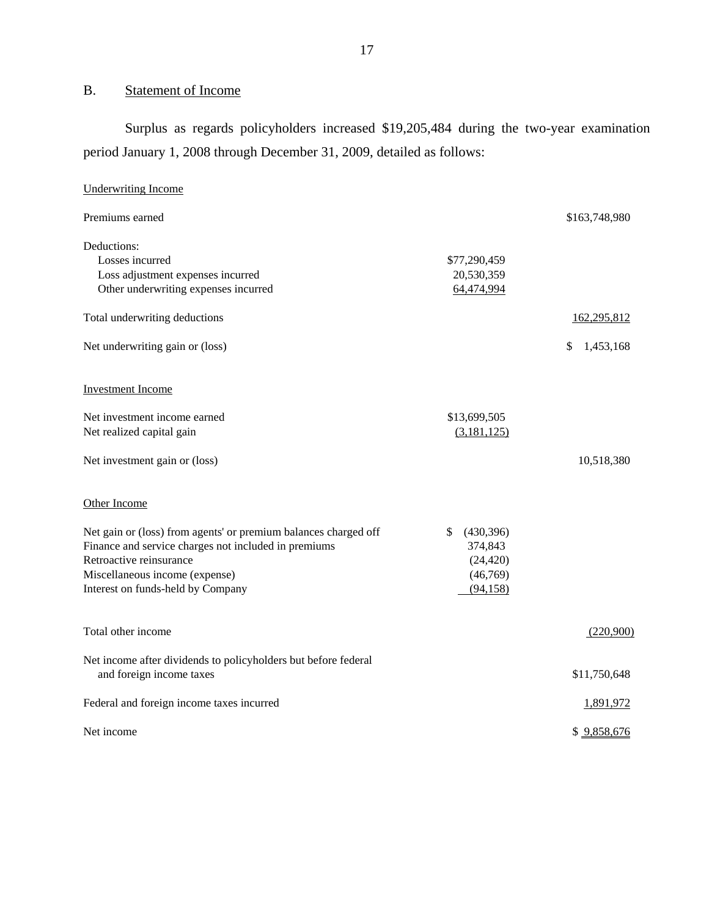# B. Statement of Income

Surplus as regards policyholders increased \$19,205,484 during the two-year examination period January 1, 2008 through December 31, 2009, detailed as follows:

| <b>Underwriting Income</b>                                                                                                                                                                                                |                                                                   |                 |
|---------------------------------------------------------------------------------------------------------------------------------------------------------------------------------------------------------------------------|-------------------------------------------------------------------|-----------------|
| Premiums earned                                                                                                                                                                                                           |                                                                   | \$163,748,980   |
| Deductions:<br>Losses incurred<br>Loss adjustment expenses incurred<br>Other underwriting expenses incurred                                                                                                               | \$77,290,459<br>20,530,359<br>64,474,994                          |                 |
| Total underwriting deductions                                                                                                                                                                                             |                                                                   | 162,295,812     |
| Net underwriting gain or (loss)                                                                                                                                                                                           |                                                                   | \$<br>1,453,168 |
| <b>Investment Income</b>                                                                                                                                                                                                  |                                                                   |                 |
| Net investment income earned<br>Net realized capital gain                                                                                                                                                                 | \$13,699,505<br>(3,181,125)                                       |                 |
| Net investment gain or (loss)                                                                                                                                                                                             |                                                                   | 10,518,380      |
| Other Income                                                                                                                                                                                                              |                                                                   |                 |
| Net gain or (loss) from agents' or premium balances charged off<br>Finance and service charges not included in premiums<br>Retroactive reinsurance<br>Miscellaneous income (expense)<br>Interest on funds-held by Company | \$<br>(430, 396)<br>374,843<br>(24, 420)<br>(46,769)<br>(94, 158) |                 |
| Total other income                                                                                                                                                                                                        |                                                                   | (220,900)       |
| Net income after dividends to policyholders but before federal<br>and foreign income taxes                                                                                                                                |                                                                   | \$11,750,648    |
| Federal and foreign income taxes incurred                                                                                                                                                                                 |                                                                   | 1,891,972       |
| Net income                                                                                                                                                                                                                |                                                                   | \$9,858,676     |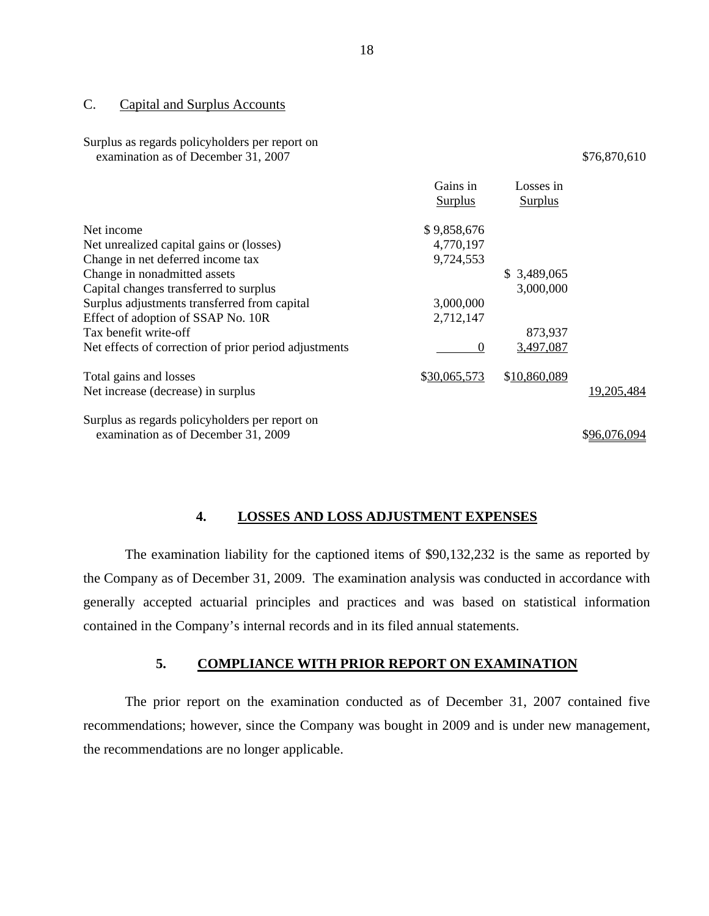#### C. Capital and Surplus Accounts

#### Surplus as regards policyholders per report on examination as of December 31, 2007 \$76,870,610

|                                                       | Gains in<br><b>Surplus</b> | Losses in<br><b>Surplus</b> |              |
|-------------------------------------------------------|----------------------------|-----------------------------|--------------|
| Net income                                            | \$9,858,676                |                             |              |
| Net unrealized capital gains or (losses)              | 4,770,197                  |                             |              |
| Change in net deferred income tax                     | 9,724,553                  |                             |              |
| Change in nonadmitted assets                          |                            | \$3,489,065                 |              |
| Capital changes transferred to surplus                |                            | 3,000,000                   |              |
| Surplus adjustments transferred from capital          | 3,000,000                  |                             |              |
| Effect of adoption of SSAP No. 10R                    | 2,712,147                  |                             |              |
| Tax benefit write-off                                 |                            | 873,937                     |              |
| Net effects of correction of prior period adjustments | $\Omega$                   | 3,497,087                   |              |
| Total gains and losses                                | \$30,065,573               | \$10,860,089                |              |
| Net increase (decrease) in surplus                    |                            |                             | 19,205,484   |
| Surplus as regards policyholders per report on        |                            |                             |              |
| examination as of December 31, 2009                   |                            |                             | \$96,076,094 |

## **4. LOSSES AND LOSS ADJUSTMENT EXPENSES**

The examination liability for the captioned items of \$90,132,232 is the same as reported by the Company as of December 31, 2009. The examination analysis was conducted in accordance with generally accepted actuarial principles and practices and was based on statistical information contained in the Company's internal records and in its filed annual statements.

## **5. COMPLIANCE WITH PRIOR REPORT ON EXAMINATION**

The prior report on the examination conducted as of December 31, 2007 contained five recommendations; however, since the Company was bought in 2009 and is under new management, the recommendations are no longer applicable.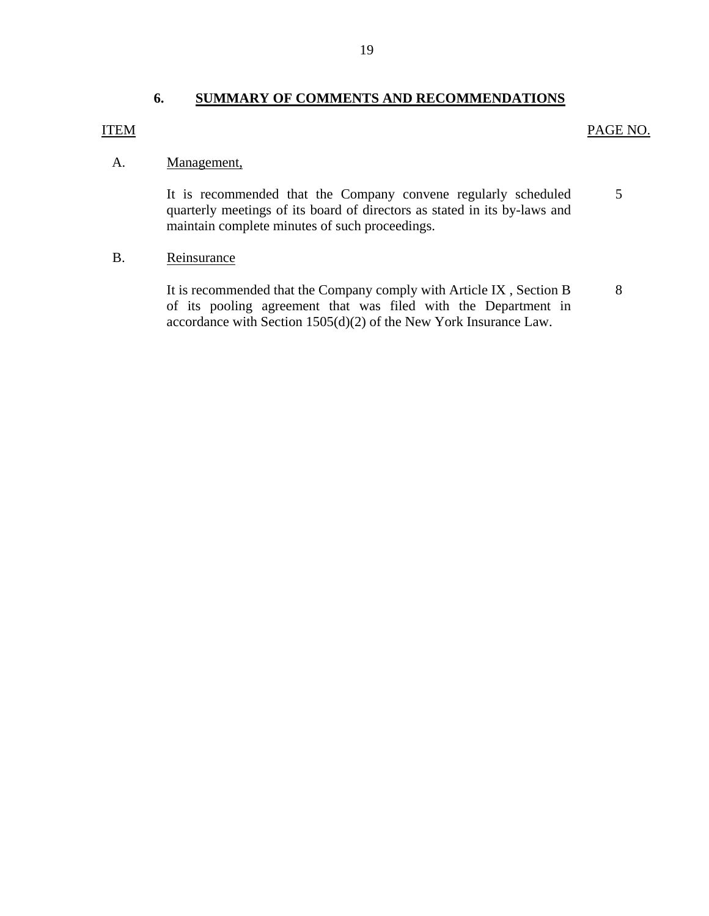## **6. SUMMARY OF COMMENTS AND RECOMMENDATIONS**

## <span id="page-20-0"></span>ITEM PAGE NO.

## A. Management,

It is recommended that the Company convene regularly scheduled 5 quarterly meetings of its board of directors as stated in its by-laws and maintain complete minutes of such proceedings.

## B. Reinsurance

It is recommended that the Company comply with Article IX, Section B 8 of its pooling agreement that was filed with the Department in accordance with Section 1505(d)(2) of the New York Insurance Law.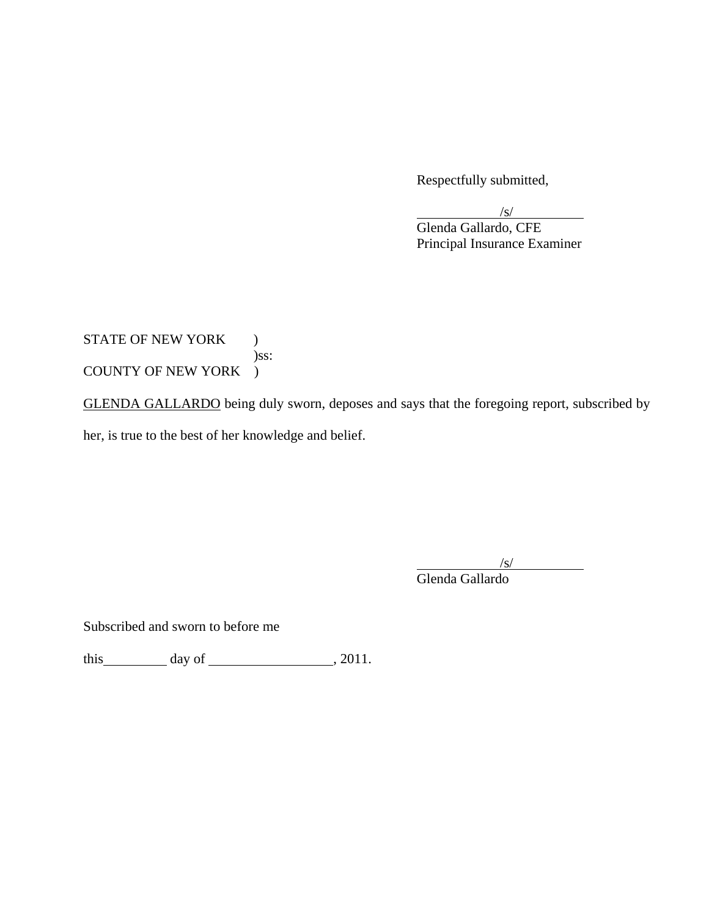Respectfully submitted,

 $\sqrt{s}$ / Glenda Gallardo, CFE Principal Insurance Examiner

# STATE OF NEW YORK ) )ss: COUNTY OF NEW YORK )

GLENDA GALLARDO being duly sworn, deposes and says that the foregoing report, subscribed by her, is true to the best of her knowledge and belief.

 $\sqrt{s}$ /s/ Glenda Gallardo

Subscribed and sworn to before me

this  $\qquad \qquad$  day of  $\qquad \qquad$  , 2011.